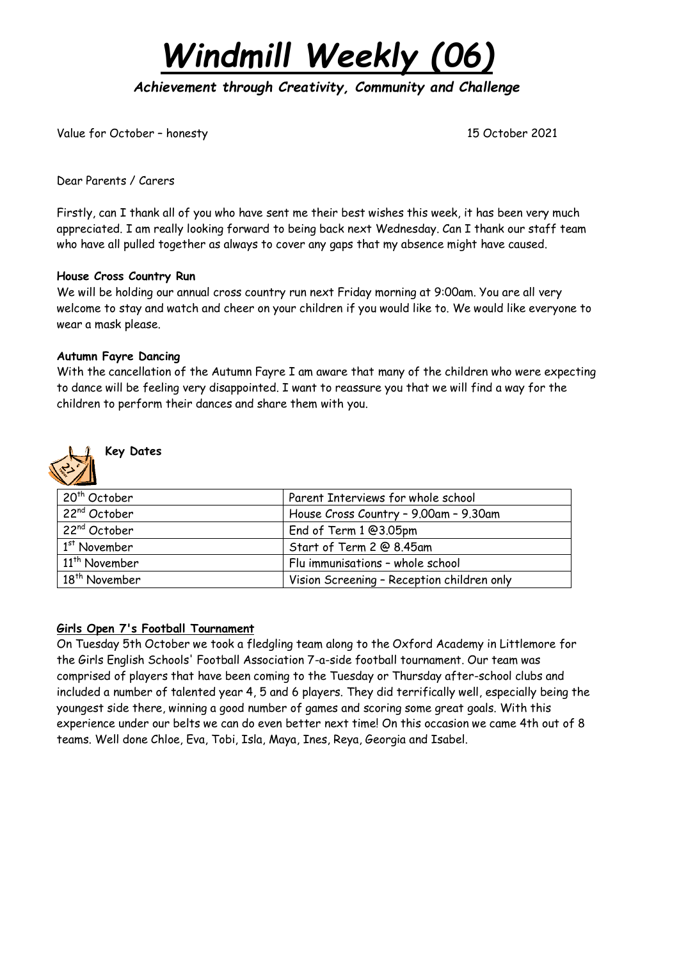

*Achievement through Creativity, Community and Challenge* 

Value for October – honesty 15 October 2021

Dear Parents / Carers

Firstly, can I thank all of you who have sent me their best wishes this week, it has been very much appreciated. I am really looking forward to being back next Wednesday. Can I thank our staff team who have all pulled together as always to cover any gaps that my absence might have caused.

### **House Cross Country Run**

We will be holding our annual cross country run next Friday morning at 9:00am. You are all very welcome to stay and watch and cheer on your children if you would like to. We would like everyone to wear a mask please.

## **Autumn Fayre Dancing**

With the cancellation of the Autumn Fayre I am aware that many of the children who were expecting to dance will be feeling very disappointed. I want to reassure you that we will find a way for the children to perform their dances and share them with you.



## **Key Dates**

| . 20 <sup>th</sup> October | Parent Interviews for whole school         |
|----------------------------|--------------------------------------------|
| 22 <sup>nd</sup> October   | House Cross Country - 9.00am - 9.30am      |
| 22 <sup>nd</sup> October   | End of Term 1 @3.05pm                      |
| $1st$ November             | Start of Term 2 @ 8.45am                   |
| 11 <sup>th</sup> November  | Flu immunisations - whole school           |
| 18 <sup>th</sup> November  | Vision Screening - Reception children only |

## **Girls Open 7's Football Tournament**

On Tuesday 5th October we took a fledgling team along to the Oxford Academy in Littlemore for the Girls English Schools' Football Association 7-a-side football tournament. Our team was comprised of players that have been coming to the Tuesday or Thursday after-school clubs and included a number of talented year 4, 5 and 6 players. They did terrifically well, especially being the youngest side there, winning a good number of games and scoring some great goals. With this experience under our belts we can do even better next time! On this occasion we came 4th out of 8 teams. Well done Chloe, Eva, Tobi, Isla, Maya, Ines, Reya, Georgia and Isabel.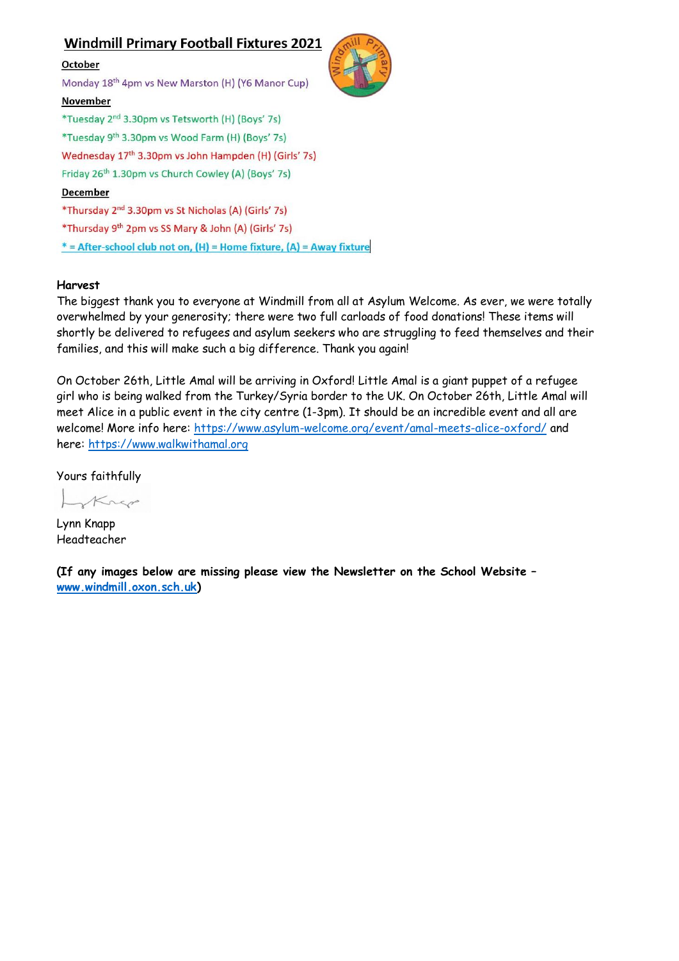## **Windmill Primary Football Fixtures 2021**



# \* = After-school club not on, (H) = Home fixture, (A) = Away fixture

#### **Harvest**

The biggest thank you to everyone at Windmill from all at Asylum Welcome. As ever, we were totally overwhelmed by your generosity; there were two full carloads of food donations! These items will shortly be delivered to refugees and asylum seekers who are struggling to feed themselves and their families, and this will make such a big difference. Thank you again!

On October 26th, Little Amal will be arriving in Oxford! Little Amal is a giant puppet of a refugee girl who is being walked from the Turkey/Syria border to the UK. On October 26th, Little Amal will meet Alice in a public event in the city centre (1-3pm). It should be an incredible event and all are welcome! More info here: <https://www.asylum-welcome.org/event/amal-meets-alice-oxford/> and here: [https://www.walkwithamal.org](https://www.walkwithamal.org/)

Yours faithfully

Krep

Lynn Knapp Headteacher

**(If any images below are missing please view the Newsletter on the School Website – [www.windmill.oxon.sch.uk\)](http://www.windmill.oxon.sch.uk/)**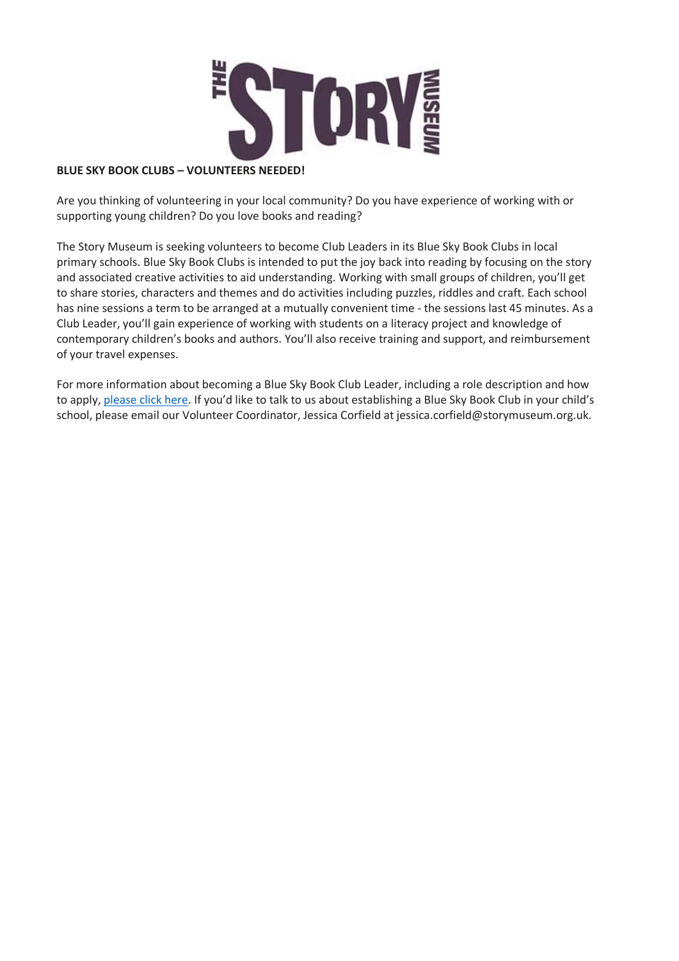

#### **BLUE SKY BOOK CLUBS – VOLUNTEERS NEEDED!**

Are you thinking of volunteering in your local community? Do you have experience of working with or supporting young children? Do you love books and reading?

The Story Museum is seeking volunteers to become Club Leaders in its Blue Sky Book Clubs in local primary schools. Blue Sky Book Clubs is intended to put the joy back into reading by focusing on the story and associated creative activities to aid understanding. Working with small groups of children, you'll get to share stories, characters and themes and do activities including puzzles, riddles and craft. Each school has nine sessions a term to be arranged at a mutually convenient time - the sessions last 45 minutes. As a Club Leader, you'll gain experience of working with students on a literacy project and knowledge of contemporary children's books and authors. You'll also receive training and support, and reimbursement of your travel expenses.

For more information about becoming a Blue Sky Book Club Leader, including a role description and how to apply, [please](https://s3.eu-west-1.amazonaws.com/storymuseum/Blue-Sky-Book-Clubs-volunteer-description.pdf) click here. If you'd like to talk to us about establishing a Blue Sky Book Club in your child's school, please email our Volunteer Coordinator, Jessica Corfield at jessica.corfield@storymuseum.org.uk.